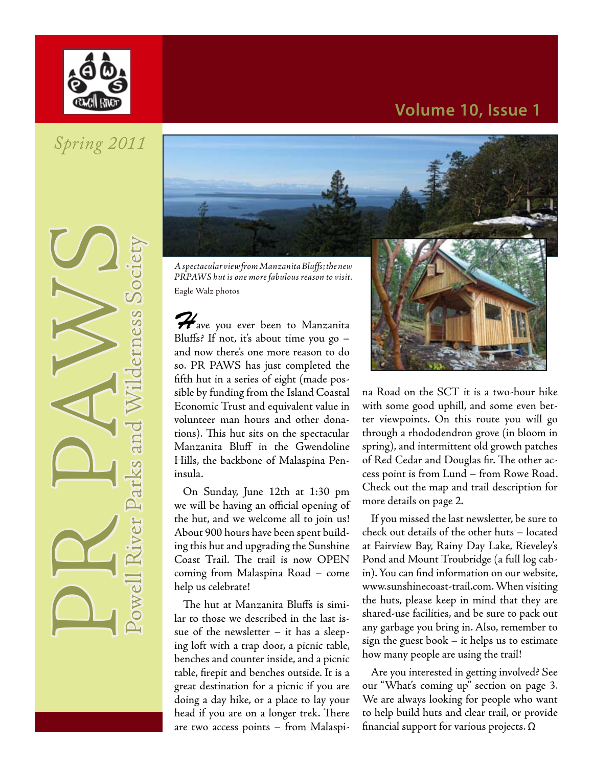

### **Volume 10, Issue 1**

# *Spring 2011*

**PR PAWilderness Society** 



*PRPAWS hut is one more fabulous reason to visit.*  Eagle Walz photos

*H*ave you ever been to Manzanita Bluffs? If not, it's about time you go  $$ and now there's one more reason to do so. PR PAWS has just completed the fifth hut in a series of eight (made possible by funding from the Island Coastal Economic Trust and equivalent value in volunteer man hours and other donations). This hut sits on the spectacular Manzanita Bluff in the Gwendoline Hills, the backbone of Malaspina Peninsula.

On Sunday, June 12th at 1:30 pm we will be having an official opening of the hut, and we welcome all to join us! About 900 hours have been spent building this hut and upgrading the Sunshine Coast Trail. The trail is now OPEN coming from Malaspina Road – come help us celebrate!

The hut at Manzanita Bluffs is similar to those we described in the last issue of the newsletter  $-$  it has a sleeping loft with a trap door, a picnic table, benches and counter inside, and a picnic table, firepit and benches outside. It is a great destination for a picnic if you are doing a day hike, or a place to lay your head if you are on a longer trek. There are two access points – from Malaspi-



na Road on the SCT it is a two-hour hike with some good uphill, and some even better viewpoints. On this route you will go through a rhododendron grove (in bloom in spring), and intermittent old growth patches of Red Cedar and Douglas fir. The other access point is from Lund – from Rowe Road. Check out the map and trail description for more details on page 2.

If you missed the last newsletter, be sure to check out details of the other huts – located at Fairview Bay, Rainy Day Lake, Rieveley's Pond and Mount Troubridge (a full log cabin). You can find information on our website, www.sunshinecoast-trail.com. When visiting the huts, please keep in mind that they are shared-use facilities, and be sure to pack out any garbage you bring in. Also, remember to sign the guest book – it helps us to estimate how many people are using the trail!

Are you interested in getting involved? See our "What's coming up" section on page 3. We are always looking for people who want to help build huts and clear trail, or provide financial support for various projects. Ω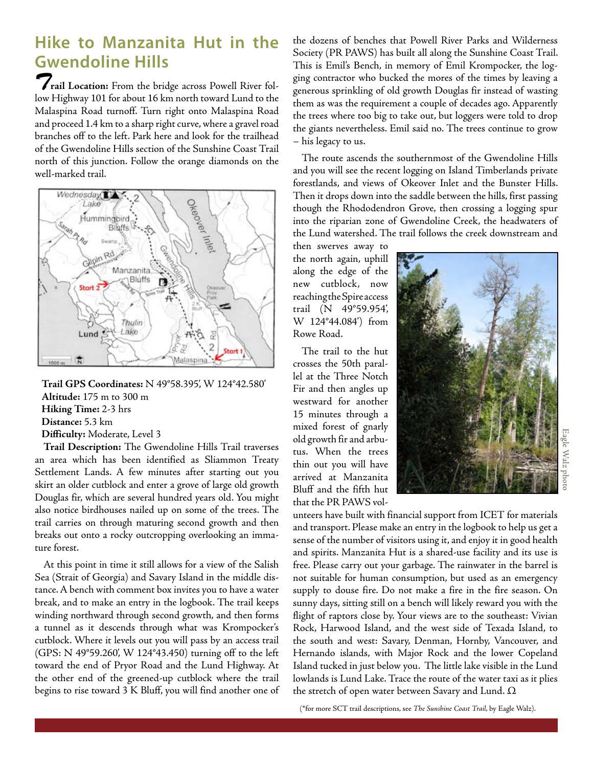## **Hike to Manzanita Hut in the Gwendoline Hills**

*T***rail Location:** From the bridge across Powell River follow Highway 101 for about 16 km north toward Lund to the Malaspina Road turnoff. Turn right onto Malaspina Road and proceed 1.4 km to a sharp right curve, where a gravel road branches off to the left. Park here and look for the trailhead of the Gwendoline Hills section of the Sunshine Coast Trail north of this junction. Follow the orange diamonds on the well-marked trail.



**Trail GPS Coordinates:** N 49°58.395', W 124°42.580' **Altitude:** 175 m to 300 m **Hiking Time:** 2-3 hrs **Distance:** 5.3 km **Difficulty:** Moderate, Level 3

**Trail Description:** The Gwendoline Hills Trail traverses an area which has been identified as Sliammon Treaty Settlement Lands. A few minutes after starting out you skirt an older cutblock and enter a grove of large old growth Douglas fir, which are several hundred years old. You might also notice birdhouses nailed up on some of the trees. The trail carries on through maturing second growth and then breaks out onto a rocky outcropping overlooking an immature forest.

At this point in time it still allows for a view of the Salish Sea (Strait of Georgia) and Savary Island in the middle distance. A bench with comment box invites you to have a water break, and to make an entry in the logbook. The trail keeps winding northward through second growth, and then forms a tunnel as it descends through what was Krompocker's cutblock. Where it levels out you will pass by an access trail (GPS: N 49°59.260', W 124°43.450) turning off to the left toward the end of Pryor Road and the Lund Highway. At the other end of the greened-up cutblock where the trail begins to rise toward 3 K Bluff, you will find another one of the dozens of benches that Powell River Parks and Wilderness Society (PR PAWS) has built all along the Sunshine Coast Trail. This is Emil's Bench, in memory of Emil Krompocker, the logging contractor who bucked the mores of the times by leaving a generous sprinkling of old growth Douglas fir instead of wasting them as was the requirement a couple of decades ago. Apparently the trees where too big to take out, but loggers were told to drop the giants nevertheless. Emil said no. The trees continue to grow – his legacy to us.

The route ascends the southernmost of the Gwendoline Hills and you will see the recent logging on Island Timberlands private forestlands, and views of Okeover Inlet and the Bunster Hills. Then it drops down into the saddle between the hills, first passing though the Rhododendron Grove, then crossing a logging spur into the riparian zone of Gwendoline Creek, the headwaters of the Lund watershed. The trail follows the creek downstream and

then swerves away to the north again, uphill along the edge of the new cutblock, now reaching the Spire access trail (N 49°59.954', W 124°44.084') from Rowe Road.

The trail to the hut crosses the 50th parallel at the Three Notch Fir and then angles up westward for another 15 minutes through a mixed forest of gnarly old growth fir and arbutus. When the trees thin out you will have arrived at Manzanita Bluff and the fifth hut that the PR PAWS vol-



unteers have built with financial support from ICET for materials and transport. Please make an entry in the logbook to help us get a sense of the number of visitors using it, and enjoy it in good health and spirits. Manzanita Hut is a shared-use facility and its use is free. Please carry out your garbage. The rainwater in the barrel is not suitable for human consumption, but used as an emergency supply to douse fire. Do not make a fire in the fire season. On sunny days, sitting still on a bench will likely reward you with the flight of raptors close by. Your views are to the southeast: Vivian Rock, Harwood Island, and the west side of Texada Island, to the south and west: Savary, Denman, Hornby, Vancouver, and Hernando islands, with Major Rock and the lower Copeland Island tucked in just below you. The little lake visible in the Lund lowlands is Lund Lake. Trace the route of the water taxi as it plies the stretch of open water between Savary and Lund.  $\Omega$ 

(\*for more SCT trail descriptions, see *The Sunshine Coast Trail*, by Eagle Walz).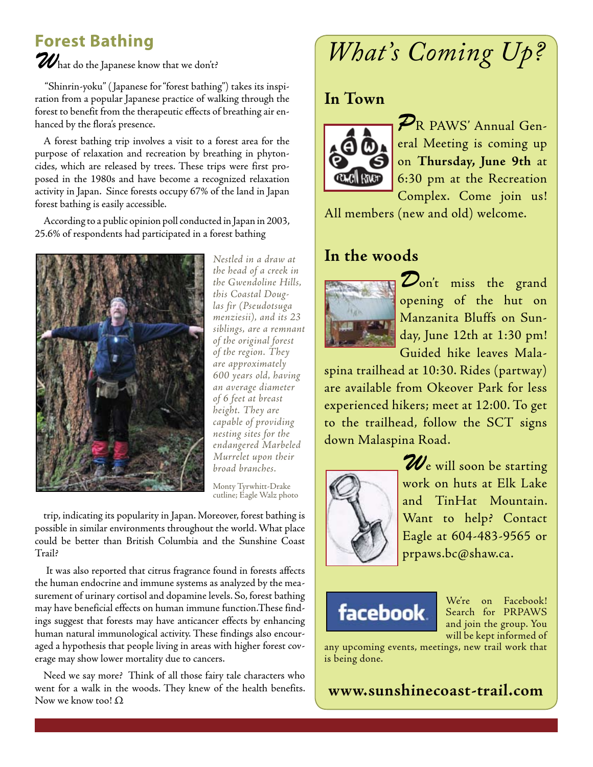# **Forest Bathing**

 $\boldsymbol{\mathcal{U}}$ hat do the Japanese know that we don't?

 "Shinrin-yoku" ( Japanese for "forest bathing") takes its inspiration from a popular Japanese practice of walking through the forest to benefit from the therapeutic effects of breathing air enhanced by the flora's presence.

A forest bathing trip involves a visit to a forest area for the purpose of relaxation and recreation by breathing in phytoncides, which are released by trees. These trips were first proposed in the 1980s and have become a recognized relaxation activity in Japan. Since forests occupy 67% of the land in Japan forest bathing is easily accessible.

According to a public opinion poll conducted in Japan in 2003, 25.6% of respondents had participated in a forest bathing



*Nestled in a draw at the head of a creek in the Gwendoline Hills, this Coastal Douglas fir (Pseudotsuga menziesii), and its 23 siblings, are a remnant of the original forest of the region. They are approximately 600 years old, having an average diameter of 6 feet at breast height. They are capable of providing nesting sites for the endangered Marbeled Murrelet upon their broad branches.*

Monty Tyrwhitt-Drake cutline; Eagle Walz photo

trip, indicating its popularity in Japan. Moreover, forest bathing is possible in similar environments throughout the world. What place could be better than British Columbia and the Sunshine Coast Trail?

 It was also reported that citrus fragrance found in forests affects the human endocrine and immune systems as analyzed by the measurement of urinary cortisol and dopamine levels. So, forest bathing may have beneficial effects on human immune function.These findings suggest that forests may have anticancer effects by enhancing human natural immunological activity. These findings also encouraged a hypothesis that people living in areas with higher forest coverage may show lower mortality due to cancers.

Need we say more? Think of all those fairy tale characters who went for a walk in the woods. They knew of the health benefits. Now we know too!  $\Omega$ 

# *What's Coming Up?*

### **In Town**



*P*R PAWS' Annual General Meeting is coming up on **Thursday, June 9th** at 6:30 pm at the Recreation Complex. Come join us!

All members (new and old) welcome.

### **In the woods**



*D*on't miss the grand opening of the hut on Manzanita Bluffs on Sunday, June 12th at 1:30 pm! Guided hike leaves Mala-

spina trailhead at 10:30. Rides (partway) are available from Okeover Park for less experienced hikers; meet at 12:00. To get to the trailhead, follow the SCT signs down Malaspina Road.



*W*e will soon be starting work on huts at Elk Lake and TinHat Mountain. Want to help? Contact Eagle at 604-483-9565 or prpaws.bc@shaw.ca.



We're on Facebook! Search for PRPAWS and join the group. You will be kept informed of

any upcoming events, meetings, new trail work that is being done.

**www.sunshinecoast-trail.com**